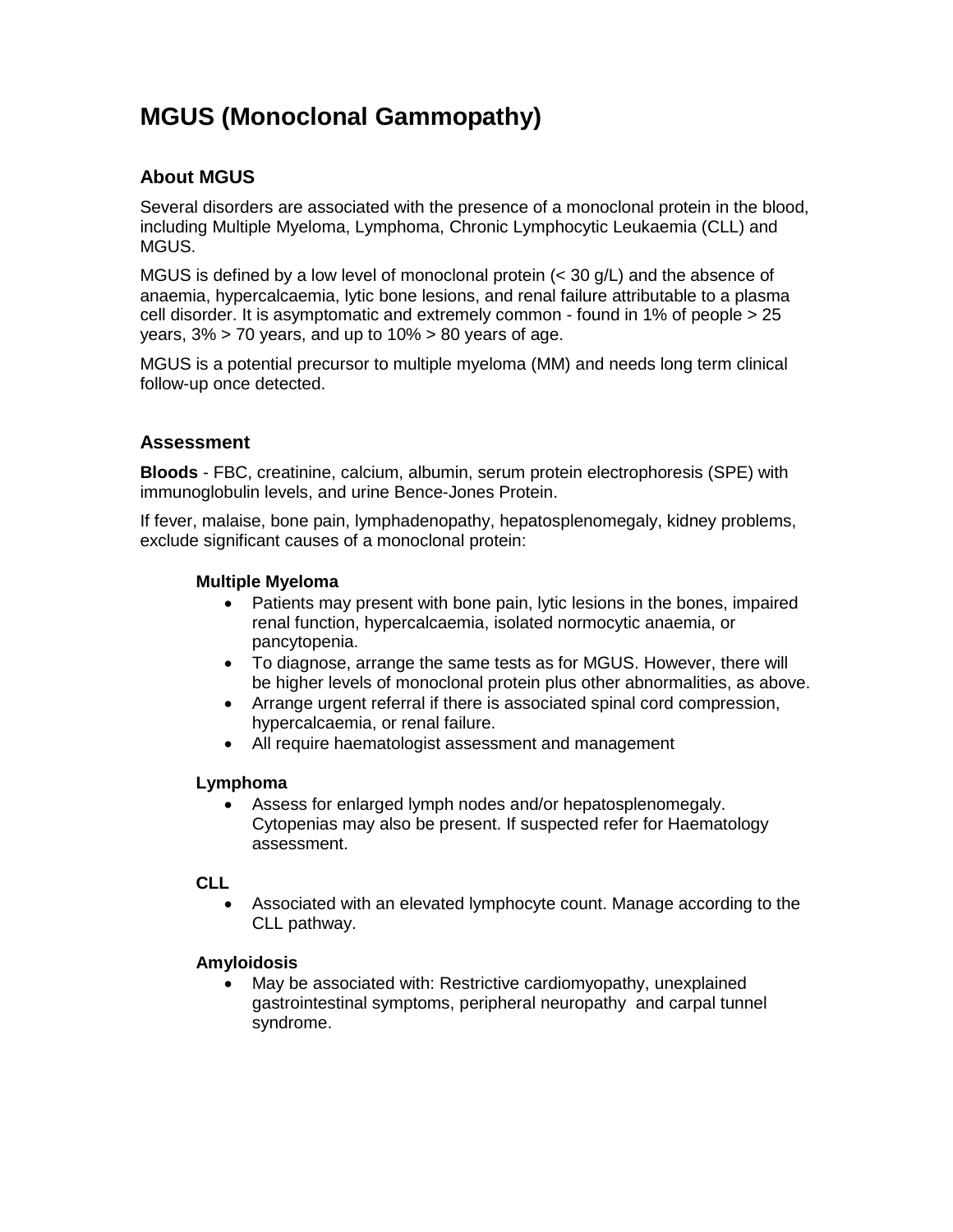# **MGUS (Monoclonal Gammopathy)**

# **About MGUS**

Several disorders are associated with the presence of a monoclonal protein in the blood, including Multiple Myeloma, Lymphoma, Chronic Lymphocytic Leukaemia (CLL) and MGUS.

MGUS is defined by a low level of monoclonal protein (< 30 g/L) and the absence of anaemia, hypercalcaemia, lytic bone lesions, and renal failure attributable to a plasma cell disorder. It is asymptomatic and extremely common - found in 1% of people > 25 years,  $3\%$  > 70 years, and up to  $10\%$  > 80 years of age.

MGUS is a potential precursor to multiple myeloma (MM) and needs long term clinical follow-up once detected.

# **Assessment**

**Bloods** - FBC, creatinine, calcium, albumin, serum protein electrophoresis (SPE) with immunoglobulin levels, and urine Bence-Jones Protein.

If fever, malaise, bone pain, lymphadenopathy, hepatosplenomegaly, kidney problems, exclude significant causes of a monoclonal protein:

### **Multiple Myeloma**

- Patients may present with bone pain, lytic lesions in the bones, impaired renal function, hypercalcaemia, isolated normocytic anaemia, or pancytopenia.
- To diagnose, arrange the same tests as for MGUS. However, there will be higher levels of monoclonal protein plus other abnormalities, as above.
- Arrange urgent referral if there is associated spinal cord compression, hypercalcaemia, or renal failure.
- All require haematologist assessment and management

#### **Lymphoma**

 Assess for enlarged lymph nodes and/or hepatosplenomegaly. Cytopenias may also be present. If suspected refer for Haematology assessment.

#### **CLL**

 Associated with an elevated lymphocyte count. Manage according to the CLL pathway.

#### **Amyloidosis**

 May be associated with: Restrictive cardiomyopathy, unexplained gastrointestinal symptoms, peripheral neuropathy and carpal tunnel syndrome.